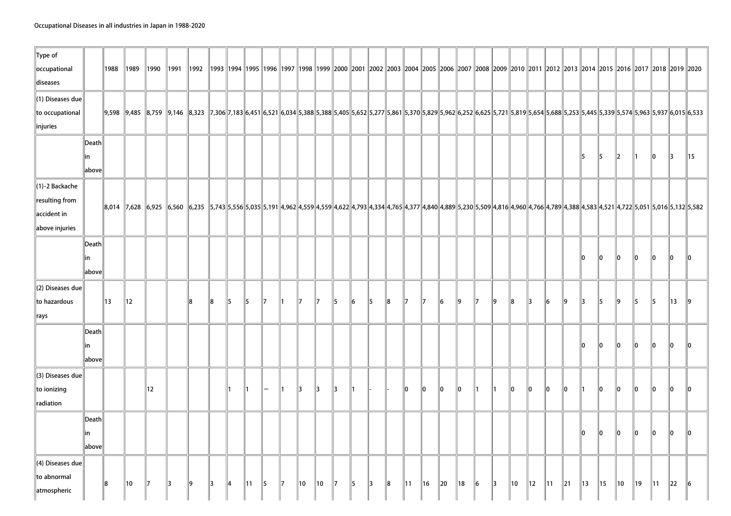| Type of<br>occupational<br>diseases                                    |                       | 1988 | 1989                                                                                                                                                                                                                            | 1990         | 1991 | 1992   1993   1994   1995   1996   1997   1998   1999   2000   2001   2002   2003   2004   2005   2006   2007   2008   2009   2009   2011   2012   2013   2014   2013   2014   2015   2016   2017   2018   2019   2019   2019 |       |           |    |    |    |    |    |     |    |    |       |              |              |                |     |    |               |       |               |    |    |    |    |           |               |     |                |     |
|------------------------------------------------------------------------|-----------------------|------|---------------------------------------------------------------------------------------------------------------------------------------------------------------------------------------------------------------------------------|--------------|------|-------------------------------------------------------------------------------------------------------------------------------------------------------------------------------------------------------------------------------|-------|-----------|----|----|----|----|----|-----|----|----|-------|--------------|--------------|----------------|-----|----|---------------|-------|---------------|----|----|----|----|-----------|---------------|-----|----------------|-----|
| $\ $ (1) Diseases due<br>to occupational<br>linjuries                  |                       |      | 9,833 5,939 5,574 5,939 5,574 5,937 6,033 7,336 7,338 7,338 5,435 6,533 5,405 5,532 5,252 5,257 5,854 5,338 5,405 6,533 5,452 5,527 5,839 5,532 5,502 5,5574 5,533 5,5574 5,937 5,553 5,445 5,339 5,5574 5,933 5,435 5,574 5,93 |              |      |                                                                                                                                                                                                                               |       |           |    |    |    |    |    |     |    |    |       |              |              |                |     |    |               |       |               |    |    |    |    |           |               |     |                |     |
|                                                                        | Death<br> in<br>above |      |                                                                                                                                                                                                                                 |              |      |                                                                                                                                                                                                                               |       |           |    |    |    |    |    |     |    |    |       |              |              |                |     |    |               |       |               |    |    | 15 | 15 | $\vert$ 2 | $\mathsf{I}$  | 10  | 13             | 15  |
| $\ $ (1)-2 Backache<br>resulting from<br>accident in<br>above injuries |                       |      | 8,014 7,628 6,925 6,925 6,560 6,235 5,743 5,556 5,035 5,191 4,962 4,559 4,559 4,622 4,793 4,334 4,765 4,377 4,840 4,889 5,230 5,509 4,816 4,960 4,766 4,789 4,388 4,583 4,521 4,722 5,051 5,016 5,132 5,503 6,014               |              |      |                                                                                                                                                                                                                               |       |           |    |    |    |    |    |     |    |    |       |              |              |                |     |    |               |       |               |    |    |    |    |           |               |     |                |     |
|                                                                        | Death<br> in<br>above |      |                                                                                                                                                                                                                                 |              |      |                                                                                                                                                                                                                               |       |           |    |    |    |    |    |     |    |    |       |              |              |                |     |    |               |       |               |    |    | 10 | 10 | 10        | 10            | llo | lo             | llo |
| $\ $ (2) Diseases due<br>to hazardous<br> rays                         |                       | 13   | 12                                                                                                                                                                                                                              |              |      | 18                                                                                                                                                                                                                            | $\ 8$ | $\vert$ 5 | 15 | 17 | ∥1 | 17 | 17 | 15  | 16 | 15 | $\ 8$ | $\mathbb{I}$ | $\mathbb{I}$ | $\vert$ 6      | ll9 | 17 | $\ 9\ $       | $\ 8$ | $\parallel$ 3 | 6  | 9  | 13 | 15 | ∥9        | $\parallel$ 5 | 15  | $\parallel$ 13 | ∥9  |
|                                                                        | Death<br>lin<br>above |      |                                                                                                                                                                                                                                 |              |      |                                                                                                                                                                                                                               |       |           |    |    |    |    |    |     |    |    |       |              |              |                |     |    |               |       |               |    |    | 10 | 10 | 10        | llo.          | llo | ١o             | llo |
| $\left\ $ (3) Diseases due<br>to ionizing<br>radiation                 |                       |      |                                                                                                                                                                                                                                 | 12           |      |                                                                                                                                                                                                                               |       | ∥1        | 11 |    | ∥1 | 13 | 13 | 13  |    |    |       | 10           | llo.         | 110            | l0  | ∥1 | ∥1            | 10    | llo.          | ∥o | 10 | ∥1 | 10 | 10        | llo           | llo | lo             | llo |
|                                                                        | Death<br>lin<br>above |      |                                                                                                                                                                                                                                 |              |      |                                                                                                                                                                                                                               |       |           |    |    |    |    |    |     |    |    |       |              |              |                |     |    |               |       |               |    |    | 10 | 10 | 10        | $\mathbf{I}$  | 10  | 10             | llo |
| $\ $ (4) Diseases due<br>to abnormal<br>atmospheric                    |                       | 8    | 10                                                                                                                                                                                                                              | $\mathbb{I}$ | 13   | 19                                                                                                                                                                                                                            | 13    | 14        | 11 | 15 | 17 | 10 | 10 | 117 | 15 | 13 | 18    | 11           | 16           | $\parallel$ 20 | 18  | 16 | $\parallel$ 3 | 10    | 12            | 11 | 21 | 13 | 15 | 10        | 19            | 11  | 22             | 6   |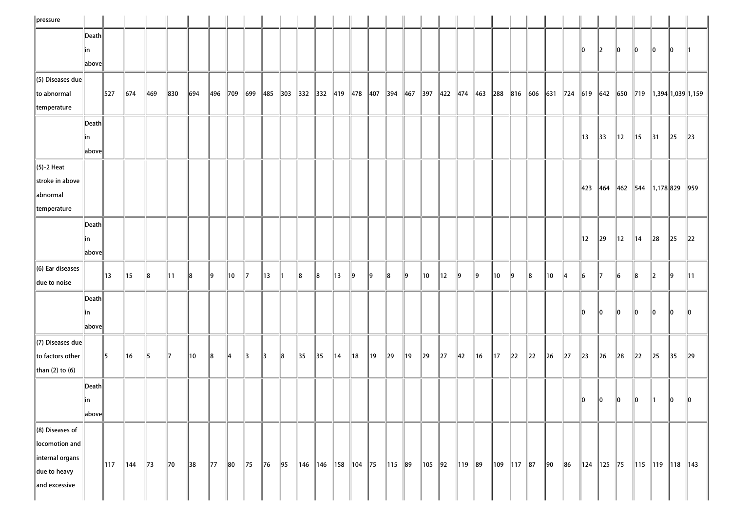| $\ $ pressure                                                                                   |                                     |             |     |               |                |     |             |                |                |    |                                         |                 |                      |                |                |    |             |                |            |                |                |                |                  |          |          |                |          |         |                |                |                |                               |               |                                                                                                                                                                                                                                                                       |
|-------------------------------------------------------------------------------------------------|-------------------------------------|-------------|-----|---------------|----------------|-----|-------------|----------------|----------------|----|-----------------------------------------|-----------------|----------------------|----------------|----------------|----|-------------|----------------|------------|----------------|----------------|----------------|------------------|----------|----------|----------------|----------|---------|----------------|----------------|----------------|-------------------------------|---------------|-----------------------------------------------------------------------------------------------------------------------------------------------------------------------------------------------------------------------------------------------------------------------|
|                                                                                                 | Death<br> in<br>above               |             |     |               |                |     |             |                |                |    |                                         |                 |                      |                |                |    |             |                |            |                |                |                |                  |          |          |                |          | 10      | $\parallel$ 2  | $\parallel$ 0  | 10             | 10                            | <b>0</b>      |                                                                                                                                                                                                                                                                       |
| $\ $ (5) Diseases due<br>to abnormal<br>temperature                                             |                                     | $\vert$ 527 | 674 | $ 469\rangle$ | 830            | 694 | 496 709 699 |                |                |    | $\parallel$ 485 303 332 332 419 478 407 |                 |                      |                |                |    | 394 467     |                |            |                |                |                |                  |          |          |                |          |         |                |                |                |                               |               | $\parallel$ 397 $\parallel$ 422 $\parallel$ 474 $\parallel$ 463 $\parallel$ 288 $\parallel$ 816 $\parallel$ 606 $\parallel$ 631 $\parallel$ 724 $\parallel$ 619 $\parallel$ 642 $\parallel$ 650 $\parallel$ 719 $\parallel$ 1,394 $\parallel$ 1,039 $\parallel$ 1,159 |
|                                                                                                 | Death<br>∥in<br>$\ $ above $\ $     |             |     |               |                |     |             |                |                |    |                                         |                 |                      |                |                |    |             |                |            |                |                |                |                  |          |          |                |          | 13      | $\parallel$ 33 | $\parallel$ 12 | $\parallel$ 15 | $\parallel$ 31                | 25            | $\ 23\ $                                                                                                                                                                                                                                                              |
| $\left\ $ (5)-2 Heat<br>stroke in above<br>abnormal<br>temperature                              |                                     |             |     |               |                |     |             |                |                |    |                                         |                 |                      |                |                |    |             |                |            |                |                |                |                  |          |          |                |          | 423     |                |                |                | $\ 464\ 462\ 544\ 1,178\ 829$ |               | 959                                                                                                                                                                                                                                                                   |
|                                                                                                 | $ $ Death<br> in<br>$\ $ above $\ $ |             |     |               |                |     |             |                |                |    |                                         |                 |                      |                |                |    |             |                |            |                |                |                |                  |          |          |                |          | 12      | $\parallel$ 29 | $\parallel$ 12 | $\parallel$ 14 | $\ 28$                        | $\ 25$        | $\ 22\ $                                                                                                                                                                                                                                                              |
| $\ $ (6) Ear diseases<br>due to noise                                                           |                                     | 13          | 15  | 8             | 11             | 18  | 19          | $\parallel$ 10 | 117            | 13 |                                         | 8               | 8                    | 13             | 19             | 19 | 18          | $\parallel$ 9  | 10         | $\parallel$ 12 | 9              | 19             | 10               | 19       | 8        | ∥10            | 14       | 16      | 117            | 16             | 8              | $\parallel$ 2                 | $\parallel$ 9 | $\parallel$ 11                                                                                                                                                                                                                                                        |
|                                                                                                 | $\ $ Death $\ $<br>in<br>above      |             |     |               |                |     |             |                |                |    |                                         |                 |                      |                |                |    |             |                |            |                |                |                |                  |          |          |                |          | 10      | 10             | 10             | 10             | 10                            | 10            | 10                                                                                                                                                                                                                                                                    |
| $\ $ (7) Diseases due<br>to factors other<br>than $(2)$ to $(6)$                                |                                     | $\vert$ 5   | 16  | $\vert$ 5     | $\parallel$ 7  | 10  | 8           | $\parallel$ 4  | $\parallel$ 3  | 13 | 8                                       | 35              | $\parallel$ 35       | $\parallel$ 14 | $\parallel$ 18 | 19 | $\ 29\ $    | $\parallel$ 19 | $\vert$ 29 | $\ 27\ $       | $\parallel$ 42 | $\parallel$ 16 | $\parallel$ 17   | $\ 22\ $ | $\ 22\ $ | $\ $ 26        | $\ 27\ $ | $\ $ 23 | $\ $ 26        | $\ 28$         | $\ 22\ $       | $\ 25\ $                      | $\vert$ 35    | $\ 29\ $                                                                                                                                                                                                                                                              |
|                                                                                                 | Death<br>$\ $ in<br>$\ $ above $\ $ |             |     |               |                |     |             |                |                |    |                                         |                 |                      |                |                |    |             |                |            |                |                |                |                  |          |          |                |          | 10      | $\ 0\ $        | $\ 0\ $        | $\ 0\ $        | $\parallel$ 1                 | $\ 0\ $       | $\ 0\ $                                                                                                                                                                                                                                                               |
| $\ $ (8) Diseases of<br>locomotion and<br>internal organs<br>$\ $ due to heavy<br>and excessive |                                     | $\vert$ 117 | 144 | $\vert$ 73    | $\parallel$ 70 | 38  | $\vert$ 77  | $\ 80\ $       | $\parallel$ 75 | 76 | 95                                      | $\parallel$ 146 | 146   158   104   75 |                |                |    | $\ 115\ 89$ |                | 105   92   |                | 119   89       |                | $\ 109\ 117\ 87$ |          |          | $\parallel$ 90 | 86       |         | 124   125   75 |                |                | 115   119   118   143         |               |                                                                                                                                                                                                                                                                       |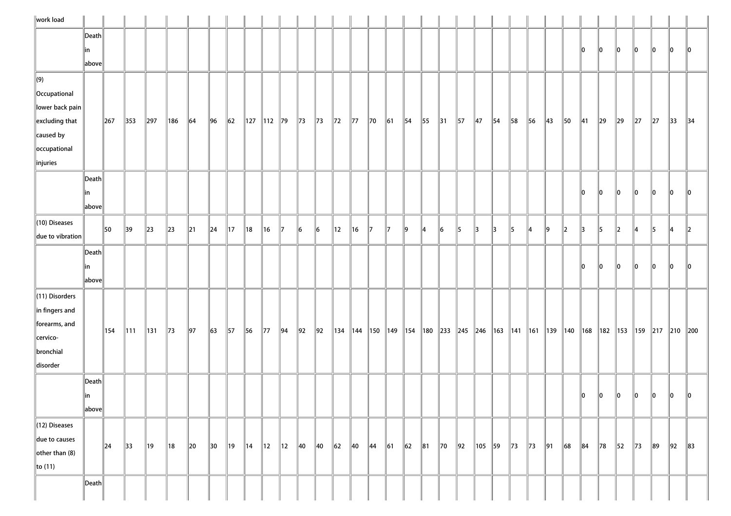| work load                                                                                   |                                           |                       |              |                 |                |            |            |                |                |                |                |                |              |                |         |                |               |            |                                                                                                                             |                |            |                |                |         |                |                |    |                |               |               |                |          |              |            |
|---------------------------------------------------------------------------------------------|-------------------------------------------|-----------------------|--------------|-----------------|----------------|------------|------------|----------------|----------------|----------------|----------------|----------------|--------------|----------------|---------|----------------|---------------|------------|-----------------------------------------------------------------------------------------------------------------------------|----------------|------------|----------------|----------------|---------|----------------|----------------|----|----------------|---------------|---------------|----------------|----------|--------------|------------|
|                                                                                             | $\ $ Death $\ $<br> in<br>$\ $ above $\ $ |                       |              |                 |                |            |            |                |                |                |                |                |              |                |         |                |               |            |                                                                                                                             |                |            |                |                |         |                |                |    | 10             | $\parallel$ 0 | $\parallel$ 0 | 10             | 10       | 10           | 10         |
| $\vert$ (9)<br><b>Occupational</b><br>lower back pain<br>$\left\ $ excluding that           |                                           | 267                   | 353          | $\vert$ 297     | $\vert$ 186    | 64         | $\vert$ 96 | $\vert$ 62     |                | 127   112   79 |                | $\ $ 73        | $\vert$ 73   | $\parallel$ 72 | $\ $ 77 | $\parallel$ 70 | $\vert$ 61    | $\vert$ 54 | 55                                                                                                                          | $\parallel$ 31 | $\vert$ 57 | $\parallel$ 47 | $\parallel$ 54 | 58      | 56             | $\parallel$ 43 | 50 | $\parallel$ 41 | $\ 29\ $      | $\vert$ 29    | $\ 27$         | $\ 27\ $ | $ 33\rangle$ | $\vert$ 34 |
| caused by<br>occupational<br>linjuries                                                      |                                           |                       |              |                 |                |            |            |                |                |                |                |                |              |                |         |                |               |            |                                                                                                                             |                |            |                |                |         |                |                |    |                |               |               |                |          |              |            |
|                                                                                             | $\ $ Death $\ $<br> in<br>above           |                       |              |                 |                |            |            |                |                |                |                |                |              |                |         |                |               |            |                                                                                                                             |                |            |                |                |         |                |                |    | 10             | 10            | 10            | 10             | 10       | 10           | 10         |
| $\ $ (10) Diseases<br>due to vibration                                                      |                                           | 50                    | 39           | $\ $ 23         | $\vert$ 23     | $\ 21$     | $\vert$ 24 | $\parallel$ 17 | ∥18            | $\parallel$ 16 | 17             | 16             | 6            | 12             | 16      | $\parallel$ 7  | $\parallel$ 7 | 9          | 14                                                                                                                          | $\ _6$         | 5          | 13             | 3              | 5       | 14             | ∥9             | 12 | 13             | 15            | $\ 2\ $       | 14             | 5        | 14           | 12         |
|                                                                                             | $\ $ Death $\ $<br> in<br>above           |                       |              |                 |                |            |            |                |                |                |                |                |              |                |         |                |               |            |                                                                                                                             |                |            |                |                |         |                |                |    | 10             | 10            | <b>O</b>      | 10             | 110      | 10           | 10         |
| $\ $ (11) Disorders<br>in fingers and<br>forearms, and<br>cervico-<br>bronchial<br>disorder |                                           | 154                   | $\ 111\ $    | $\parallel$ 131 | $\ $ 73        | $\vert$ 97 | $\vert$ 63 | 57             | 56             | $\vert$ 77     | 94             | $\parallel$ 92 | 92           |                |         |                |               |            | 134   144   150   149   154   180   233   245   246   163   141   161   139   140   168   182   153   159   217   210   200 |                |            |                |                |         |                |                |    |                |               |               |                |          |              |            |
|                                                                                             | $\ $ Death $\ $<br> in<br>above           |                       |              |                 |                |            |            |                |                |                |                |                |              |                |         |                |               |            |                                                                                                                             |                |            |                |                |         |                |                |    | 10             | $\parallel$ 0 | $\ 0\ $       | 10             | 10       | 10           |            |
| $\ $ (12) Diseases<br>due to causes<br>other than $(8)$<br>$\ $ to (11)                     |                                           | $\vert$ <sub>24</sub> | $ 33\rangle$ | $\parallel$ 19  | $\parallel$ 18 | $\vert$ 20 | $\vert$ 30 | $\parallel$ 19 | $\parallel$ 14 | $\parallel$ 12 | $\parallel$ 12 | $\parallel$ 40 | $ 40\rangle$ | 62             | 40      | $\parallel$ 44 | 61            | 62         | 81                                                                                                                          | $\parallel$ 70 | 92         | $\ 105\ $ 59   |                | $\ $ 73 | $\parallel$ 73 | 91             | 68 | $\ 84$         | $\ $ 78       | $\vert$ 52    | $\parallel$ 73 | 89       | 92           | $\ 83\ $   |
|                                                                                             | $\ $ Death $\ $                           |                       |              |                 |                |            |            |                |                |                |                |                |              |                |         |                |               |            |                                                                                                                             |                |            |                |                |         |                |                |    |                |               |               |                |          |              |            |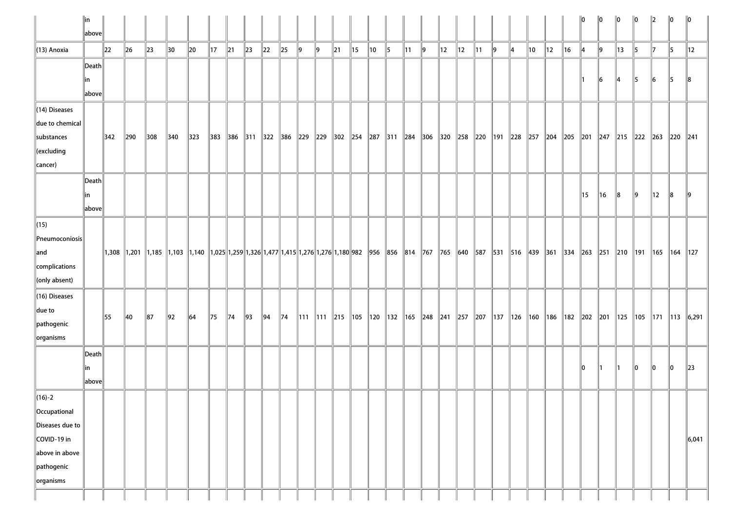|                                 | ∥in             |               |            |                                                                                                                                                                                                          |                |               |                |                |                |                                                                                                                                            |                |         |           |        |    |    |               |                                                                                                           |         |    |    |                |         |   |    |                |         | llo | 10            | 10 | 10        | 12             | $\ 0\ $      | $\ 0\ $                       |
|---------------------------------|-----------------|---------------|------------|----------------------------------------------------------------------------------------------------------------------------------------------------------------------------------------------------------|----------------|---------------|----------------|----------------|----------------|--------------------------------------------------------------------------------------------------------------------------------------------|----------------|---------|-----------|--------|----|----|---------------|-----------------------------------------------------------------------------------------------------------|---------|----|----|----------------|---------|---|----|----------------|---------|-----|---------------|----|-----------|----------------|--------------|-------------------------------|
|                                 | above           |               |            |                                                                                                                                                                                                          |                |               |                |                |                |                                                                                                                                            |                |         |           |        |    |    |               |                                                                                                           |         |    |    |                |         |   |    |                |         |     |               |    |           |                |              |                               |
| $(13)$ Anoxia                   |                 | $\ 22\ $      | $\vert$ 26 | $\ $ 23                                                                                                                                                                                                  | $\parallel$ 30 | $\vert$ 20    | $\vert$ 17     | $\parallel$ 21 | $\ $ 23        | $\vert$ 22                                                                                                                                 | $\ 25\ $       | $\ 9\ $ | $\vert$ 9 | $\ 21$ | 15 | 10 | $\parallel$ 5 | $\parallel$ 11                                                                                            | $\ 9\ $ | 12 | 12 | $\parallel$ 11 | $\ 9\ $ | 4 | 10 | $\parallel$ 12 | $\ $ 16 | 14  | $\ 9\ $       | 13 | 15        | $\mathbb{I}$   | 15           | 12                            |
|                                 | Death           |               |            |                                                                                                                                                                                                          |                |               |                |                |                |                                                                                                                                            |                |         |           |        |    |    |               |                                                                                                           |         |    |    |                |         |   |    |                |         |     |               |    |           |                |              |                               |
|                                 | in              |               |            |                                                                                                                                                                                                          |                |               |                |                |                |                                                                                                                                            |                |         |           |        |    |    |               |                                                                                                           |         |    |    |                |         |   |    |                |         |     | $\vert$ 6     | 14 | $\vert$ 5 | 6              | $\vert$ 5    | 18                            |
|                                 | above           |               |            |                                                                                                                                                                                                          |                |               |                |                |                |                                                                                                                                            |                |         |           |        |    |    |               |                                                                                                           |         |    |    |                |         |   |    |                |         |     |               |    |           |                |              |                               |
| $(14)$ Diseases                 |                 |               |            |                                                                                                                                                                                                          |                |               |                |                |                |                                                                                                                                            |                |         |           |        |    |    |               |                                                                                                           |         |    |    |                |         |   |    |                |         |     |               |    |           |                |              |                               |
| $\ $ due to chemical            |                 |               |            |                                                                                                                                                                                                          |                |               |                |                |                |                                                                                                                                            |                |         |           |        |    |    |               |                                                                                                           |         |    |    |                |         |   |    |                |         |     |               |    |           |                |              |                               |
| substances                      |                 | $ 342\rangle$ | 290        | $ 308\rangle$                                                                                                                                                                                            | $ 340\rangle$  | $ 323\rangle$ |                |                |                | 383  386  311  322  386  229  229  302  254  287  311  284  306  320  258  220  191  228  257  204  205  201  247  215  222  263  220  241 |                |         |           |        |    |    |               |                                                                                                           |         |    |    |                |         |   |    |                |         |     |               |    |           |                |              |                               |
| $\ $ (excluding                 |                 |               |            |                                                                                                                                                                                                          |                |               |                |                |                |                                                                                                                                            |                |         |           |        |    |    |               |                                                                                                           |         |    |    |                |         |   |    |                |         |     |               |    |           |                |              |                               |
| $\vert$ cancer)                 |                 |               |            |                                                                                                                                                                                                          |                |               |                |                |                |                                                                                                                                            |                |         |           |        |    |    |               |                                                                                                           |         |    |    |                |         |   |    |                |         |     |               |    |           |                |              |                               |
|                                 | $\ $ Death $\ $ |               |            |                                                                                                                                                                                                          |                |               |                |                |                |                                                                                                                                            |                |         |           |        |    |    |               |                                                                                                           |         |    |    |                |         |   |    |                |         |     |               |    |           |                |              |                               |
|                                 | in              |               |            |                                                                                                                                                                                                          |                |               |                |                |                |                                                                                                                                            |                |         |           |        |    |    |               |                                                                                                           |         |    |    |                |         |   |    |                |         | 15  | ∥16           | 8  | $\ 9\ $   | $\parallel$ 12 | 8            |                               |
|                                 | above           |               |            |                                                                                                                                                                                                          |                |               |                |                |                |                                                                                                                                            |                |         |           |        |    |    |               |                                                                                                           |         |    |    |                |         |   |    |                |         |     |               |    |           |                |              |                               |
| $\ $ (15)                       |                 |               |            |                                                                                                                                                                                                          |                |               |                |                |                |                                                                                                                                            |                |         |           |        |    |    |               |                                                                                                           |         |    |    |                |         |   |    |                |         |     |               |    |           |                |              |                               |
| $\ $ Pneumoconiosis $\ $        |                 |               |            |                                                                                                                                                                                                          |                |               |                |                |                |                                                                                                                                            |                |         |           |        |    |    |               |                                                                                                           |         |    |    |                |         |   |    |                |         |     |               |    |           |                |              |                               |
| $\ $ and                        |                 |               |            | 1,308  1,201   1,185   1,103   1,140   1,025  1,259  1,326  1,477  1,415  1,276  1,276  1,180  982   956   856   814   767   765   640   587   531   516   439   361   334   263   251   210   191   165 |                |               |                |                |                |                                                                                                                                            |                |         |           |        |    |    |               |                                                                                                           |         |    |    |                |         |   |    |                |         |     |               |    |           |                | $\ 164\ 127$ |                               |
| complications                   |                 |               |            |                                                                                                                                                                                                          |                |               |                |                |                |                                                                                                                                            |                |         |           |        |    |    |               |                                                                                                           |         |    |    |                |         |   |    |                |         |     |               |    |           |                |              |                               |
| $\ $ (only absent)              |                 |               |            |                                                                                                                                                                                                          |                |               |                |                |                |                                                                                                                                            |                |         |           |        |    |    |               |                                                                                                           |         |    |    |                |         |   |    |                |         |     |               |    |           |                |              |                               |
| $(16)$ Diseases                 |                 |               |            |                                                                                                                                                                                                          |                |               |                |                |                |                                                                                                                                            |                |         |           |        |    |    |               |                                                                                                           |         |    |    |                |         |   |    |                |         |     |               |    |           |                |              |                               |
| $\ $ due to                     |                 | 55            | 40         | 87                                                                                                                                                                                                       | 92             | 64            | $\parallel$ 75 | 74             | $\parallel$ 93 | 94                                                                                                                                         | $\parallel$ 74 |         |           |        |    |    |               | 111   111   215   105   120   132   165   248   241   257   207   137   126   160   186   182   202   201 |         |    |    |                |         |   |    |                |         |     |               |    |           |                |              | 125   105   171   113   6,291 |
| pathogenic                      |                 |               |            |                                                                                                                                                                                                          |                |               |                |                |                |                                                                                                                                            |                |         |           |        |    |    |               |                                                                                                           |         |    |    |                |         |   |    |                |         |     |               |    |           |                |              |                               |
| $\sqrt{\frac{1}{10}}$ organisms |                 |               |            |                                                                                                                                                                                                          |                |               |                |                |                |                                                                                                                                            |                |         |           |        |    |    |               |                                                                                                           |         |    |    |                |         |   |    |                |         |     |               |    |           |                |              |                               |
|                                 | Death           |               |            |                                                                                                                                                                                                          |                |               |                |                |                |                                                                                                                                            |                |         |           |        |    |    |               |                                                                                                           |         |    |    |                |         |   |    |                |         |     |               |    |           |                |              |                               |
|                                 | in              |               |            |                                                                                                                                                                                                          |                |               |                |                |                |                                                                                                                                            |                |         |           |        |    |    |               |                                                                                                           |         |    |    |                |         |   |    |                |         | llo | $\parallel$ 1 | 11 | $\ 0\ $   | llo.           | 10           | $\parallel$ 23                |
|                                 | above           |               |            |                                                                                                                                                                                                          |                |               |                |                |                |                                                                                                                                            |                |         |           |        |    |    |               |                                                                                                           |         |    |    |                |         |   |    |                |         |     |               |    |           |                |              |                               |
| $(16)-2$                        |                 |               |            |                                                                                                                                                                                                          |                |               |                |                |                |                                                                                                                                            |                |         |           |        |    |    |               |                                                                                                           |         |    |    |                |         |   |    |                |         |     |               |    |           |                |              |                               |
| Occupational                    |                 |               |            |                                                                                                                                                                                                          |                |               |                |                |                |                                                                                                                                            |                |         |           |        |    |    |               |                                                                                                           |         |    |    |                |         |   |    |                |         |     |               |    |           |                |              |                               |
| Diseases due to                 |                 |               |            |                                                                                                                                                                                                          |                |               |                |                |                |                                                                                                                                            |                |         |           |        |    |    |               |                                                                                                           |         |    |    |                |         |   |    |                |         |     |               |    |           |                |              |                               |
| COVID-19 in                     |                 |               |            |                                                                                                                                                                                                          |                |               |                |                |                |                                                                                                                                            |                |         |           |        |    |    |               |                                                                                                           |         |    |    |                |         |   |    |                |         |     |               |    |           |                |              | 6,041                         |
| above in above                  |                 |               |            |                                                                                                                                                                                                          |                |               |                |                |                |                                                                                                                                            |                |         |           |        |    |    |               |                                                                                                           |         |    |    |                |         |   |    |                |         |     |               |    |           |                |              |                               |
| pathogenic                      |                 |               |            |                                                                                                                                                                                                          |                |               |                |                |                |                                                                                                                                            |                |         |           |        |    |    |               |                                                                                                           |         |    |    |                |         |   |    |                |         |     |               |    |           |                |              |                               |
| organisms                       |                 |               |            |                                                                                                                                                                                                          |                |               |                |                |                |                                                                                                                                            |                |         |           |        |    |    |               |                                                                                                           |         |    |    |                |         |   |    |                |         |     |               |    |           |                |              |                               |
|                                 |                 |               |            |                                                                                                                                                                                                          |                |               |                |                |                |                                                                                                                                            |                |         |           |        |    |    |               |                                                                                                           |         |    |    |                |         |   |    |                |         |     |               |    |           |                |              |                               |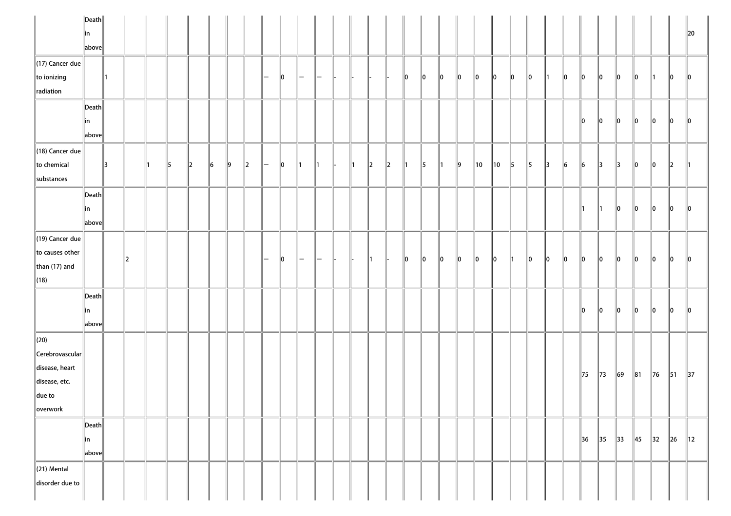| llin<br>above                                                                                                                                                                                                                                                                                                          | $\ 20$                                                        |
|------------------------------------------------------------------------------------------------------------------------------------------------------------------------------------------------------------------------------------------------------------------------------------------------------------------------|---------------------------------------------------------------|
|                                                                                                                                                                                                                                                                                                                        |                                                               |
|                                                                                                                                                                                                                                                                                                                        |                                                               |
| $\ $ (17) Cancer due                                                                                                                                                                                                                                                                                                   |                                                               |
| to ionizing<br>$\ 0\ $<br>$ 0\rangle$<br>$\ 0\ $<br>10<br>10<br>10<br>10<br>10<br>10<br><b>O</b><br>$\parallel$ 0<br>10<br>10<br>∥1<br>$\overline{}$<br>$\overline{\phantom{m}}$                                                                                                                                       | 10<br>$\parallel$ 0<br>10<br>11                               |
| radiation                                                                                                                                                                                                                                                                                                              |                                                               |
| $\ $ Death $\ $                                                                                                                                                                                                                                                                                                        |                                                               |
| 10<br>$\ 0\ $<br>10<br> in                                                                                                                                                                                                                                                                                             | lo<br>$\ 0\ $<br>$\ 0\ $<br>10                                |
| above                                                                                                                                                                                                                                                                                                                  |                                                               |
| $\ $ (18) Cancer due                                                                                                                                                                                                                                                                                                   |                                                               |
| to chemical<br>9<br>$\vert$ 5<br>$\parallel$ 5<br>13<br>15<br> 6 <br>$\vert$ 9<br>$\parallel$ <sub>2</sub><br>10<br>$\parallel$ 2<br>$\parallel$ 10<br>10<br>13<br>$\vert$ 6<br>$\vert 6 \vert$<br>2<br> 2 <br>$\parallel$ 5<br>$\parallel$ 1<br>$\parallel$ 3<br>$\parallel$ 3<br>11<br>∥1<br>$\mathsf{l}$ $-$<br>-11 | $\ 0\ $<br>$\parallel$ 0<br>$\ 2$                             |
| substances                                                                                                                                                                                                                                                                                                             |                                                               |
| $\ $ Death $\ $                                                                                                                                                                                                                                                                                                        |                                                               |
| in<br>∥1<br>$\parallel$ 1<br>$\parallel$ 0                                                                                                                                                                                                                                                                             | lo<br>$ 0\rangle$<br>$\parallel$ 0<br>10                      |
| $\ $ above $\ $                                                                                                                                                                                                                                                                                                        |                                                               |
| $\ $ (19) Cancer due                                                                                                                                                                                                                                                                                                   |                                                               |
| to causes other                                                                                                                                                                                                                                                                                                        |                                                               |
| $\ 0\ $<br>$\ 0\ $<br>10<br> 2 <br>10<br>10<br>10<br>10<br>∥0<br>$\ 0\ $<br>$\ 0\ $<br>10<br>$\parallel$ 0<br>$\parallel$ 1<br>$\parallel$ 0<br>l —<br>-<br>-<br>than $(17)$ and                                                                                                                                       | 10<br>$\parallel$ 0<br>$\parallel$ 0<br>10                    |
| $\vert$ (18)                                                                                                                                                                                                                                                                                                           |                                                               |
| $\ $ Death $\ $                                                                                                                                                                                                                                                                                                        |                                                               |
| ∥0<br>∥0<br>10<br> in                                                                                                                                                                                                                                                                                                  | 10<br>$\parallel$ 0<br>$\parallel$ 0<br>10                    |
| above                                                                                                                                                                                                                                                                                                                  |                                                               |
| $\vert$ (20)                                                                                                                                                                                                                                                                                                           |                                                               |
| $\ $ Cerebrovascular $\ $                                                                                                                                                                                                                                                                                              |                                                               |
| disease, heart                                                                                                                                                                                                                                                                                                         |                                                               |
| 75<br>69<br>$\parallel$ 73<br>disease, etc.                                                                                                                                                                                                                                                                            | $\ $ 76<br>$\parallel$ 37<br>$\ 81$<br>$\vert$ 51             |
| $\ $ due to                                                                                                                                                                                                                                                                                                            |                                                               |
| overwork                                                                                                                                                                                                                                                                                                               |                                                               |
|                                                                                                                                                                                                                                                                                                                        |                                                               |
| $\vert$ Death $\vert\vert$<br>$\parallel$ 35<br>$\parallel$ 33<br>$\vert$ 36<br> in                                                                                                                                                                                                                                    | $\parallel$ 45<br>$\parallel$ 32<br>$\ $ 26<br>$\parallel$ 12 |
| $\ $ above $\ $                                                                                                                                                                                                                                                                                                        |                                                               |
|                                                                                                                                                                                                                                                                                                                        |                                                               |
| $\ $ (21) Mental                                                                                                                                                                                                                                                                                                       |                                                               |
| disorder due to                                                                                                                                                                                                                                                                                                        |                                                               |